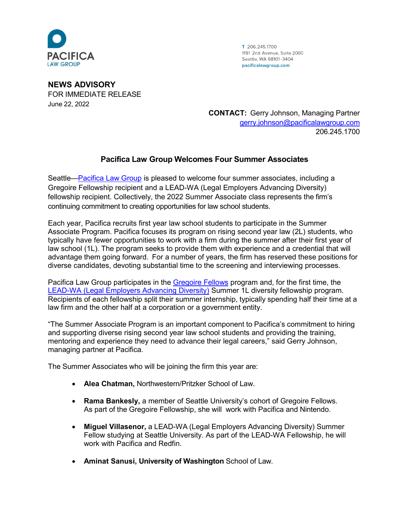

T 206.245.1700 1191 2nd Avenue, Suite 2000 Seattle WA 98101-3404 pacificalawgroup.com

**NEWS ADVISORY** FOR IMMEDIATE RELEASE June 22, 2022

**CONTACT:** Gerry Johnson, Managing Partner [gerry.johnson@pacificalawgroup.com](mailto:gerry.johnson@pacificalawgroup.com) 206.245.1700

## **Pacifica Law Group Welcomes Four Summer Associates**

Seattle[—Pacifica Law Group](http://www.pacificalawgroup.com/) is pleased to welcome four summer associates, including a Gregoire Fellowship recipient and a LEAD-WA (Legal Employers Advancing Diversity) fellowship recipient. Collectively, the 2022 Summer Associate class represents the firm's continuing commitment to creating opportunities for law school students.

Each year, Pacifica recruits first year law school students to participate in the Summer Associate Program. Pacifica focuses its program on rising second year law (2L) students, who typically have fewer opportunities to work with a firm during the summer after their first year of law school (1L). The program seeks to provide them with experience and a credential that will advantage them going forward. For a number of years, the firm has reserved these positions for diverse candidates, devoting substantial time to the screening and interviewing processes.

Pacifica Law Group participates in the [Gregoire Fellows](https://law.seattleu.edu/careers/students/gregoire-fellows-program) program and, for the first time, the [LEAD-WA \(Legal Employers Advancing Diversity\)](https://www.lead-wa.org/about-us) Summer 1L diversity fellowship program. Recipients of each fellowship split their summer internship, typically spending half their time at a law firm and the other half at a corporation or a government entity.

"The Summer Associate Program is an important component to Pacifica's commitment to hiring and supporting diverse rising second year law school students and providing the training, mentoring and experience they need to advance their legal careers," said Gerry Johnson, managing partner at Pacifica.

The Summer Associates who will be joining the firm this year are:

- **Alea Chatman,** Northwestern/Pritzker School of Law.
- **Rama Bankesly,** a member of Seattle University's cohort of Gregoire Fellows. As part of the Gregoire Fellowship, she will work with Pacifica and Nintendo.
- **Miguel Villasenor,** a LEAD-WA (Legal Employers Advancing Diversity) Summer Fellow studying at Seattle University. As part of the LEAD-WA Fellowship, he will work with Pacifica and Redfin.
- **Aminat Sanusi, University of Washington** School of Law.